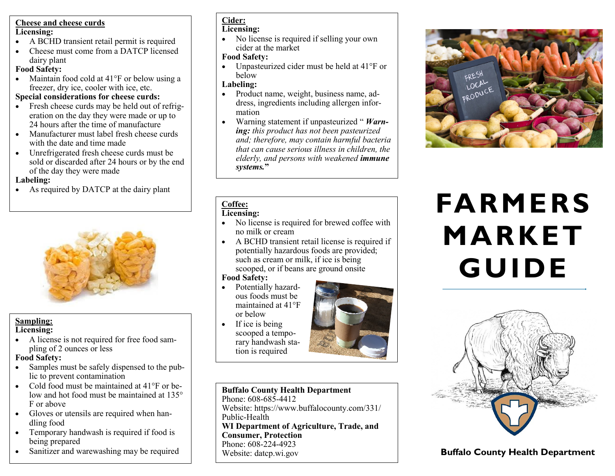### **Cheese and cheese curds Licensing:**

- A BCHD transient retail permit is required
- Cheese must come from a DATCP licensed dairy plant

## **Food Safety:**

• Maintain food cold at 41°F or below using a freezer, dry ice, cooler with ice, etc.

## **Special considerations for cheese curds:**

- Fresh cheese curds may be held out of refrigeration on the day they were made or up to 24 hours after the time of manufacture
- Manufacturer must label fresh cheese curds with the date and time made
- Unrefrigerated fresh cheese curds must be sold or discarded after 24 hours or by the end of the day they were made

**Labeling:**

• As required by DATCP at the dairy plant



#### **Sampling: Licensing:**

• A license is not required for free food sampling of 2 ounces or less

## **Food Safety:**

- Samples must be safely dispensed to the public to prevent contamination
- Cold food must be maintained at 41°F or below and hot food must be maintained at 135° F or above
- Gloves or utensils are required when handling food
- Temporary handwash is required if food is being prepared
- Sanitizer and warewashing may be required

#### **Cider: Licensing:**

• No license is required if selling your own cider at the market

## **Food Safety:**

• Unpasteurized cider must be held at 41°F or below

## **Labeling:**

- Product name, weight, business name, address, ingredients including allergen information
- Warning statement if unpasteurized " *Warning: this product has not been pasteurized and; therefore, may contain harmful bacteria that can cause serious illness in children, the elderly, and persons with weakened immune systems.***"**

#### **Coffee: Licensing:**

- No license is required for brewed coffee with no milk or cream
- A BCHD transient retail license is required if potentially hazardous foods are provided; such as cream or milk, if ice is being scooped, or if beans are ground onsite

## **Food Safety:**

- Potentially hazardous foods must be maintained at 41°F or below
- If ice is being scooped a temporary handwash station is required



**Buffalo County Health Department** Phone: 608-685-4412 Website: https://www.buffalocounty.com/331/ Public-Health **WI Department of Agriculture, Trade, and Consumer, Protection** Phone: 608-224-4923 Website: datcp.wi.gov **Buffalo County Health Department** 



# **FARMERS MARKET GUIDE**